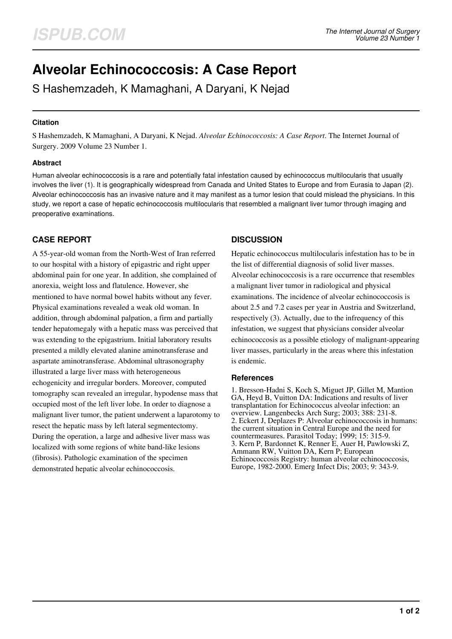# **Alveolar Echinococcosis: A Case Report**

S Hashemzadeh, K Mamaghani, A Daryani, K Nejad

## **Citation**

S Hashemzadeh, K Mamaghani, A Daryani, K Nejad. *Alveolar Echinococcosis: A Case Report*. The Internet Journal of Surgery. 2009 Volume 23 Number 1.

## **Abstract**

Human alveolar echinococcosis is a rare and potentially fatal infestation caused by echinococcus multilocularis that usually involves the liver (1). It is geographically widespread from Canada and United States to Europe and from Eurasia to Japan (2). Alveolar echinococcosis has an invasive nature and it may manifest as a tumor lesion that could mislead the physicians. In this study, we report a case of hepatic echinococcosis multilocularis that resembled a malignant liver tumor through imaging and preoperative examinations.

# **CASE REPORT**

A 55-year-old woman from the North-West of Iran referred to our hospital with a history of epigastric and right upper abdominal pain for one year. In addition, she complained of anorexia, weight loss and flatulence. However, she mentioned to have normal bowel habits without any fever. Physical examinations revealed a weak old woman. In addition, through abdominal palpation, a firm and partially tender hepatomegaly with a hepatic mass was perceived that was extending to the epigastrium. Initial laboratory results presented a mildly elevated alanine aminotransferase and aspartate aminotransferase. Abdominal ultrasonography illustrated a large liver mass with heterogeneous echogenicity and irregular borders. Moreover, computed tomography scan revealed an irregular, hypodense mass that occupied most of the left liver lobe. In order to diagnose a malignant liver tumor, the patient underwent a laparotomy to resect the hepatic mass by left lateral segmentectomy. During the operation, a large and adhesive liver mass was localized with some regions of white band-like lesions (fibrosis). Pathologic examination of the specimen demonstrated hepatic alveolar echinococcosis.

## **DISCUSSION**

Hepatic echinococcus multilocularis infestation has to be in the list of differential diagnosis of solid liver masses. Alveolar echinococcosis is a rare occurrence that resembles a malignant liver tumor in radiological and physical examinations. The incidence of alveolar echinococcosis is about 2.5 and 7.2 cases per year in Austria and Switzerland, respectively (3). Actually, due to the infrequency of this infestation, we suggest that physicians consider alveolar echinococcosis as a possible etiology of malignant-appearing liver masses, particularly in the areas where this infestation is endemic.

## **References**

1. Bresson-Hadni S, Koch S, Miguet JP, Gillet M, Mantion GA, Heyd B, Vuitton DA: Indications and results of liver transplantation for Echinococcus alveolar infection: an overview. Langenbecks Arch Surg; 2003; 388: 231-8. 2. Eckert J, Deplazes P: Alveolar echinococcosis in humans: the current situation in Central Europe and the need for countermeasures. Parasitol Today; 1999; 15: 315-9. 3. Kern P, Bardonnet K, Renner E, Auer H, Pawlowski Z, Ammann RW, Vuitton DA, Kern P; European Echinococcosis Registry: human alveolar echinococcosis, Europe, 1982-2000. Emerg Infect Dis; 2003; 9: 343-9.